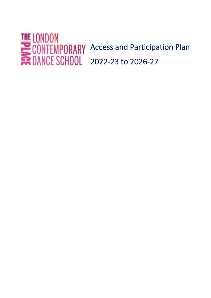# Access and Participation Plan 2022-23 to 2026-27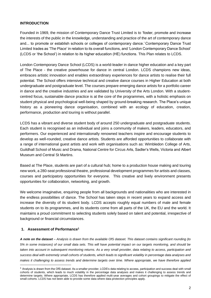# **INTRODUCTION**

Founded in 1969, the mission of Contemporary Dance Trust Limited is to 'foster, promote and increase the interests of the public in the knowledge, understanding and practice of the art of contemporary dance and... to promote or establish schools or colleges of contemporary dance.' Contemporary Dance Trust Limited trades as 'The Place' in relation to its overall functions, and 'London Contemporary Dance School' (LCDS or 'the School') in relation to its higher education (HE) functions. This Plan relates to LCDS.

London Contemporary Dance School (LCDS) is a world-leader in dance higher education and a key part of The Place - the creative powerhouse for dance in central London. LCDS champions new ideas, embraces artistic innovation and enables extraordinary experiences for dance artists to realise their full potential. The School offers intensive technical and creative dance courses in Higher Education at both undergraduate and postgraduate level. The courses prepare emerging dance artists for a portfolio career in dance and the creative industries and are validated by University of the Arts London. With a studentcentred focus, sustainable dance practice is at the core of the programmes, with a holistic emphasis on student physical and psychological well-being shaped by ground-breaking research. The Place's unique history as a pioneering dance organisation, combined with an ecology of education, creation, performance, production and touring is without parallel.

LCDS has a vibrant and diverse student body of around 250 undergraduate and postgraduate students. Each student is recognised as an individual and joins a community of makers, leaders, educators, and performers. Our experienced and internationally renowned teachers inspire and encourage students to develop as well-rounded, creative dance artists. Students are afforded opportunities to collaborate with a range of international guest artists and work with organisations such as: Wimbledon College of Arts, Guildhall School of Music and Drama, National Centre for Circus Arts, Sadler's Wells, Victoria and Albert Museum and Central St Martins.

Based at The Place, students are part of a cultural hub; home to a production house making and touring new work, a 280-seat professional theatre, professional development programmes for artists and classes, courses and participatory opportunities for everyone. This creative and lively environment presents opportunities for collaboration, networking, and growth.

We welcome imaginative, enquiring people from all backgrounds and nationalities who are interested in the endless possibilities of dance. The School has taken steps in recent years to expand access and increase the diversity of its student body. LCDS accepts roughly equal numbers of male and female students on to its programmes, and its students come from all parts of the UK, the EU and the world. It maintains a proud commitment to selecting students solely based on talent and potential, irrespective of background or financial circumstances.

# **1. Assessment of Performance<sup>1</sup>**

*A note on the dataset – Analysis is drawn from the available OfS dataset. This dataset contains significant rounding (to 5% in some instances) of our small data sets. This will have potential impact on our targets monitoring, and should be taken into account in subsequent monitoring returns. As a very small provider, data relating to access, participation and success deal with extremely small cohorts of students, which leads to significant volatility in percentage data analyses and makes it challenging to assess trends and determine targets over time. Where appropriate, we have therefore applied* 

 $1$  Analysis is drawn from the OfS dataset. As a smaller provider, LCDS's data relating to access, participation and success deal with small cohorts of students, which leads to much volatility in the percentage data analyses and makes it challenging to assess trends and determine targets. Where appropriate, LCDS has therefore applied multi-year averages and cohort groupings to mitigate the effect of small cohorts. LCDS has not been able to provide some data where data protection principles apply.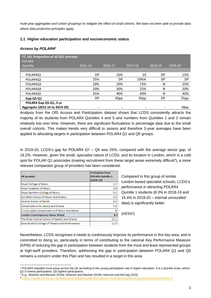*multi-year aggregates and cohort groupings to mitigate the effect of small cohorts. We have not been able to provide data where data protection principles apply.*

# **1.1 Higher education participation and socioeconomic status**

# *Access by POLAR4<sup>2</sup>*

| FT, UG, Proportion of all U21 entrants<br>POLAR4 |           |         |         |         |           |
|--------------------------------------------------|-----------|---------|---------|---------|-----------|
| Quintile                                         | 2015-16   | 2016-17 | 2017-18 | 2018-19 | 2019-20   |
|                                                  |           |         |         |         |           |
| POLAR4Q1                                         | DP        | 10%     | 10      | DP      | 15%       |
| POLAR4Q2                                         | 25%       | DP.     | 10%%    | DP      | <b>DP</b> |
| POLAR4Q3                                         | 20%       | 10%     | 15%     | N       | 25%       |
| POLAR4Q4                                         | 20%       | 30%     | 25%     | N       | 20%       |
| POLAR4Q5                                         | 35%       | 40%     | 40%     | N       | 40%       |
| Gap Q5-Q1                                        | <b>DP</b> | 30pp    | 30pp    | DP      | 25pp      |
| POLAR4 Gap Q5-Q1, 5-yr                           |           |         |         |         |           |
| Aggregate (2015-16 to 2019-20)                   | -         | -       |         |         | 28pp      |

Analysis from the OfS Access and Participation dataset shows that LCDS consistently attracts the majority of its students from POLAR4 Quintiles 4 and 5 and numbers from Quintiles 1 and 2 remain relatively low over time. However, there are significant fluctuations in percentage data due to the small overall cohorts. This makes trends very difficult to assess and therefore 3-year averages have been applied to allocating targets in participation between POLAR4 Q1 and Q5 groups.

In 2019-20, LCDS's gap for POLAR4 Q1 – Q5 was 25%, compared with the average sector gap, of 18.2%. However, given the small, specialist nature of LCDS, and its location in London, which is a cold spot for POLAR Q1 postcodes (making recruitment from these target areas extremely difficult<sup>3</sup>), a more relevant comparator group of providers has been considered.

| <b>HE</b> provider                              | % Students from<br><b>POLAR4 Quintile 1</b><br>(2018-19) |
|-------------------------------------------------|----------------------------------------------------------|
| <b>Royal College of Music</b>                   | 1.7                                                      |
| Royal Academy of Music                          | 2.9                                                      |
| Royal Northern College of Music                 | 3.2                                                      |
| <b>Guildhall School of Music and Drama</b>      | 4.5                                                      |
| <b>Central School of Ballet</b>                 | 6.4                                                      |
| <b>Conservatoire for Dance and Drama</b>        | 7.6                                                      |
| Trinity Laban Conservatoire of Music and Dance  | я                                                        |
| <b>London Contemporary Dance School</b>         | 8.3                                                      |
| The Royal Central School of Speech and Drama    | 11.1                                                     |
| Rose Bruford College of Theatre and Performance | 11.3                                                     |

Compared to this group of similar London-based specialist schools, LCDS's performance in attracting POLAR4 Quintile 1 students (8.3% in 2018-19 and 15.4% in 2019-20 – internal unrounded data) is significantly better.

(HESA<sup>4</sup> )

Nevertheless, LCDS recognises it needs to continuously improve its performance in this key area, and is committed to doing so, particularly in terms of contributing to the national Key Performance Measure (KPM) of reducing the gap in participation between students from the most and least represented groups at high-tariff providers. Therefore, addressing the gap in participation between POLAR4 Q1 and Q5 remains a concern under this Plan and has resulted in a target in this area.

<sup>&</sup>lt;sup>2</sup> POLAR4 classifies local areas across the UK according to the young participation rate in higher education. It is a Quintile scale, where Q1 is lowest participation; Q5 highest participation.

<sup>&</sup>lt;sup>3</sup> E.g., Atherton and Mazhari 2019a; Atherton and Mazhari 2019b; Harrison and McCaig 2015)

<sup>4</sup> <https://www.hesa.ac.uk/data-and-analysis/performance-indicators/widening-participation/chart-4>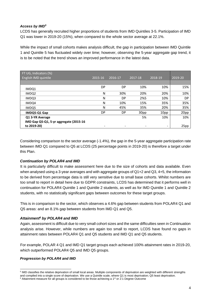# *Access by IMD<sup>5</sup>*

LCDS has generally recruited higher proportions of students from IMD Quintiles 3-5. Participation of IMD Q1 was lower in 2019-20 (15%), when compared to the whole sector average at 22.1%.

While the impact of small cohorts makes analysis difficult, the gap in participation between IMD Quintile 1 and Quintile 5 has fluctuated widely over time; however, observing the 5-year aggregate gap trend, it is to be noted that the trend shows an improved performance in the latest data.

| FT UG, Indicators (%)                  |         |         |         |                          |           |
|----------------------------------------|---------|---------|---------|--------------------------|-----------|
| English IMD quintile                   | 2015-16 | 2016-17 | 2017-18 | 2018-19                  | 2019-20   |
|                                        |         |         |         |                          |           |
| IMDQ1                                  | DP      | DP      | 10%     | 10%                      | 15%       |
| IMDQ2                                  | N       | 30%     | 20%     | 20%                      | 10%       |
| IMDQ3                                  | N       | DP      | 2%5     | 10%                      | <b>DP</b> |
| IMDQ4                                  | N       | 10%     | 15%     | 35%                      | 35%       |
| IMDQ5                                  | N       | 45%     | 35%     | 20%                      | 35%       |
| IMDQ5-Q1 Gap                           | DP      | DP      | 30pp    | 10pp                     | 20pp      |
| Q1 3-YR Average                        |         |         | 5%      | 10%                      | 10%       |
| IMD Gap Q5-Q1, 5-yr aggregate (2015-16 |         |         |         |                          |           |
| to 2019-20)                            |         | -       |         | $\overline{\phantom{0}}$ | 25pp      |

Considering comparison to the sector average (-1.4%), the gap in the 5-year aggregate participation rate between IMD Q1 compared to Q5 at LCDS (25 percentage points in 2019-20) is therefore a target under this Plan.

# *Continuation by POLAR4 and IMD*

It is particularly difficult to make assessment here due to the size of cohorts and data available. Even when analysed using a 3-year averages and with aggregate groups of Q1+2 and Q3, 4+5, the information to be derived from percentage data is still very sensitive due to small base cohorts. Whilst numbers are too small to report in detail here due to GDPR constraints, LCDS has determined that it performs well in continuation for POLAR4 Quintile 1 and Quintile 2 students, as well as for IMD Quintile 1 and Quintile 2 students, with no statistically significant gaps between outcomes for these target groups.

This is in comparison to the sector, which observes a 4.6% gap between students from POLAR4 Q1 and Q5 areas: and an 8.1% gap between students from IMD Q1 and Q5.

# *Attainment<sup>6</sup> by POLAR4 and IMD*

Again, assessment is difficult due to very small cohort sizes and the same difficulties seen in Continuation analysis arise. However, while numbers are again too small to report, LCDS have found no gaps in attainment rates between POLAR4 Q1 and Q5 students and IMD Q1 and Q5 students.

For example, POLAR 4 Q1 and IMD Q1 target groups each achieved 100% attainment rates in 2019-20, which outperformed POLAR4 Q5 and IMD Q5 groups.

# *Progression by POLAR4 and IMD*

<sup>&</sup>lt;sup>5</sup> IMD classifies the relative deprivation of small local areas. Multiple components of deprivation are weighted with different strengths and compiled into a single score of deprivation. We use a Quintile scale, where Q1 is most deprivation; Q5 least deprivation.  $6$  Attainment measure for all groups is considered to be those achieving a 1<sup>st</sup> or 2:1 Degree Outcome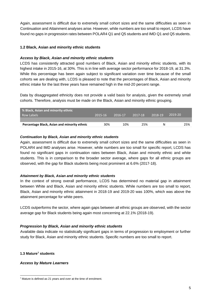Again, assessment is difficult due to extremely small cohort sizes and the same difficulties as seen in Continuation and Attainment analyses arise. However, while numbers are too small to report, LCDS have found no gaps in progression rates between POLAR4 Q1 and Q5 students and IMD Q1 and Q5 students.

# **1.2 Black, Asian and minority ethnic students**

# *Access by Black, Asian and minority ethnic students*

LCDS has consistently attracted good numbers of Black, Asian and minority ethnic students, with its highest intake in 2015-16, at 30%. This is in line with average sector performance for 2018-19, at 31.3%. While this percentage has been again subject to significant variation over time because of the small cohorts we are dealing with, LCDS is pleased to note that the percentages of Black, Asian and minority ethnic intake for the last three years have remained high in the mid-20 percent range.

Data by disaggregated ethnicity does not provide a valid basis for analysis, given the extremely small cohorts. Therefore, analysis must be made on the Black, Asian and minority ethnic grouping.

| S Black, Asian and minority ethnic          |         |         |         |         |         |
|---------------------------------------------|---------|---------|---------|---------|---------|
| Row Labels                                  | 2015-16 | 2016-17 | 2017-18 | 2018-19 | 2019-20 |
|                                             |         |         |         |         |         |
| Percentage Black, Asian and minority ethnic | 30%     | 10%     | 25%     | N       | 25%     |
|                                             |         |         |         |         |         |

# *Continuation by Black, Asian and minority ethnic students*

Again, assessment is difficult due to extremely small cohort sizes and the same difficulties as seen in POLAR4 and IMD analyses arise. However, while numbers are too small for specific report, LCDS has found no significant gaps in continuation rates between Black, Asian and minority ethnic and white students. This is in comparison to the broader sector average, where gaps for all ethnic groups are observed, with the gap for Black students being most prominent at 6.6% (2017-18).

# *Attainment by Black, Asian and minority ethnic students*

In the context of strong overall performance, LCDS has determined no material gap in attainment between White and Black, Asian and minority ethnic students. While numbers are too small to report, Black, Asian and minority ethnic attainment in 2018-19 and 2019-20 was 100%, which was above the attainment percentage for white peers.

LCDS outperforms the sector, where again gaps between all ethnic groups are observed, with the sector average gap for Black students being again most concerning at 22.1% (2018-19).

# *Progression by Black, Asian and minority ethnic students*

Available data indicate no statistically significant gaps in terms of progression to employment or further study for Black, Asian and minority ethnic students. Specific numbers are too small to report.

# **1.3 Mature<sup>7</sup> students**

# *Access by Mature Learners*

<sup>7</sup> Mature is defined as 21 years and over at the time of enrolment.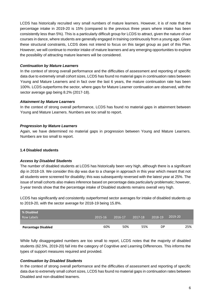LCDS has historically recruited very small numbers of mature learners. However, it is of note that the percentage intake in 2019-20 is 15% (compared to the previous three years where intake has been consistently less than 5%). This is a particularly difficult group for LCDS to attract, given the nature of our courses in dance, where students are generally engaged in training continuously from a young age. Given these structural constraints, LCDS does not intend to focus on this target group as part of this Plan. However, we will continue to monitor intake of mature learners and any emerging opportunities to explore the possibility of attracting mature learners will be considered.

# *Continuation by Mature Learners*

In the context of strong overall performance and the difficulties of assessment and reporting of specific data due to extremely small cohort sizes, LCDS has found no material gaps in continuation rates between Young and Mature Learners and in fact over the last 6 years, the mature continuation rate has been 100%. LCDS outperforms the sector, where gaps for Mature Learner continuation are observed, with the sector average gap being 8.2% (2017-18).

# *Attainment by Mature Learners*

In the context of strong overall performance, LCDS has found no material gaps in attainment between Young and Mature Learners. Numbers are too small to report.

# *Progression by Mature Learners*

Again, we have determined no material gaps in progression between Young and Mature Learners. Numbers are too small to report.

# **1.4 Disabled students**

# *Access by Disabled Students*

The number of disabled students at LCDS has historically been very high, although there is a significant dip in 2018-19. We consider this dip was due to a change in approach in this year which meant that not all students were screened for disability; this was subsequently reversed with the latest year at 25%. The issue of small cohorts also makes inference based on percentage data particularly problematic; however, 3-year trends show that the percentage intake of Disabled students remains overall very high.

LCDS has significantly and consistently outperformed sector averages for intake of disabled students up to 2019-20, with the sector average for 2018-19 being 15.8%.

| % Disabled                 |         |         |         |         |         |     |
|----------------------------|---------|---------|---------|---------|---------|-----|
| Row Labels                 | 2015-16 | 2016-17 | 2017-18 | 2018-19 | 2019-20 |     |
|                            |         |         |         |         |         |     |
| <b>Percentage Disabled</b> | 60%     | 50%     | 55%     | DP      |         | 25% |

While fully disaggregated numbers are too small to report, LCDS notes that the majority of disabled students (62.5%, 2019-20) fall into the category of Cognitive and Learning Differences. This informs the types of support measures required and provided.

# *Continuation by Disabled Students*

In the context of strong overall performance and the difficulties of assessment and reporting of specific data due to extremely small cohort sizes, LCDS has found no material gaps in continuation rates between Disabled and non-disabled learners.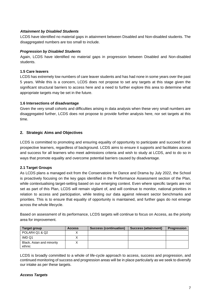# *Attainment by Disabled Students*

LCDS have identified no material gaps in attainment between Disabled and Non-disabled students. The disaggregated numbers are too small to include.

# *Progression by Disabled Students*

Again, LCDS have identified no material gaps in progression between Disabled and Non-disabled students.

# **1.5 Care leavers**

LCDS has extremely low numbers of care leaver students and has had none in some years over the past 5 years. While this is a concern, LCDS does not propose to set any targets at this stage given the significant structural barriers to access here and a need to further explore this area to determine what appropriate targets may be set in the future.

# **1.6 Intersections of disadvantage**

Given the very small cohorts and difficulties arising in data analysis when these very small numbers are disaggregated further, LCDS does not propose to provide further analysis here, nor set targets at this time.

# **2. Strategic Aims and Objectives**

LCDS is committed to promoting and ensuring equality of opportunity to participate and succeed for all prospective learners, regardless of background. LCDS aims to ensure it supports and facilitates access and success for all learners who meet admissions criteria and wish to study at LCDS, and to do so in ways that promote equality and overcome potential barriers caused by disadvantage.

# **2.1 Target Groups**

As LCDS plans a managed exit from the Conservatoire for Dance and Drama by July 2022, the School is proactively focusing on the key gaps identified in the Performance Assessment section of the Plan, while contextualising target-setting based on our emerging context. Even where specific targets are not set as part of this Plan, LCDS will remain vigilant of, and will continue to monitor, national priorities in relation to access and participation, while testing our data against relevant sector benchmarks and priorities. This is to ensure that equality of opportunity is maintained, and further gaps do not emerge across the whole lifecycle.

Based on assessment of its performance, LCDS targets will continue to focus on Access, as the priority area for improvement.

| Target group                        | <b>Access</b> | <b>Success (continuation)</b> | Success (attainment) | <b>Progression</b> |
|-------------------------------------|---------------|-------------------------------|----------------------|--------------------|
| POLAR4 Q1 & Q2                      |               |                               |                      |                    |
| IMD Q1                              |               |                               |                      |                    |
| Black, Asian and minority<br>ethnic |               |                               |                      |                    |

LCDS is broadly committed to a whole of life-cycle approach to access, success and progression, and continued monitoring of success and progression areas will be in place particularly as we seek to diversify our intake as per these targets.

# *Access Targets*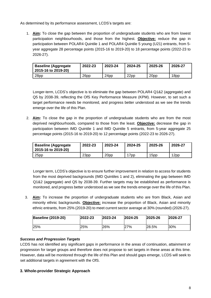As determined by its performance assessment, LCDS's targets are:

1. **Aim:** To close the gap between the proportion of undergraduate students who are from lowest participation neighbourhoods, and those from the highest. **Objective:** reduce the gap in participation between POLAR4 Quintile 1 and POLAR4 Quintile 5 young (U21) entrants, from 5 year aggregate 28 percentage points (2015-16 to 2019-20) to 18 percentage points (2022-23 to 2026-27).

| <b>Baseline (Aggregate</b><br>2015-16 to 2019-20) | 2022-23          | 2023-24          | 2024-25          | 2025-26 | 2026-27 |
|---------------------------------------------------|------------------|------------------|------------------|---------|---------|
| 28pp                                              | 26 <sub>pp</sub> | 24 <sub>pp</sub> | 22 <sub>pp</sub> | 20pp    | 18pp    |

Longer-term, LCDS's objective is to eliminate the gap between POLAR4 Q1&2 (aggregate) and Q5 by 2038-39, reflecting the OfS Key Performance Measure (KPM). However, to set such a target performance needs be monitored, and progress better understood as we see the trends emerge over the life of this Plan.

2. **Aim:** To close the gap in the proportion of undergraduate students who are from the most deprived neighbourhoods, compared to those from the least. **Objective:** decrease the gap in participation between IMD Quintile 1 and IMD Quintile 5 entrants, from 5-year aggregate 25 percentage points (2015-16 to 2019-20) to 12 percentage points (2022-23 to 2026-27).

| <b>Baseline (Aggregate</b><br>2015-16 to 2019-20) | 2022-23 | 2023-24 | 2024-25         | 2025-26 | 2026-27 |
|---------------------------------------------------|---------|---------|-----------------|---------|---------|
| 25pp                                              | 23pp    | 20pp    | 7 <sub>pp</sub> | 15pp    | 12pp    |

Longer term, LCDS's objective is to ensure further improvement in relation to access for students from the most deprived backgrounds (IMD Quintiles 1 and 2), eliminating the gap between IMD Q1&2 (aggregate) and Q5 by 2038-39. Further targets may be established as performance is monitored, and progress better understood as we see the trends emerge over the life of this Plan.

3. **Aim:** To increase the proportion of undergraduate students who are from Black, Asian and minority ethnic backgrounds. **Objective:** increase the proportion of Black, Asian and minority ethnic entrants, from 25% (2019-20) to meet current sector average at 30% (rounded) (2026-27).

| <b>Baseline (2019-20)</b> | $ 2022 - 23$ | 2023-24 | 2024-25 | 2025-26 | 2026-27 |
|---------------------------|--------------|---------|---------|---------|---------|
| 125%                      | 25%          | 26%     | 27%     | 28.5%   | 30%     |

# *Success and Progression Targets*

LCDS has not identified any significant gaps in performance in the areas of continuation, attainment or progression for target groups and therefore does not propose to set targets in these areas at this time. However, data will be monitored through the life of this Plan and should gaps emerge, LCDS will seek to set additional targets in agreement with the OfS.

# **3. Whole-provider Strategic Approach**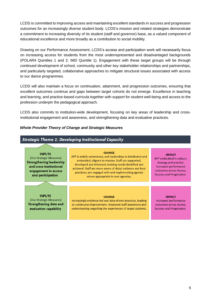LCDS is committed to improving access and maintaining excellent standards in success and progression outcomes for an increasingly diverse student body. LCDS's mission and related strategies demonstrate a commitment to increasing diversity of its student (staff and governor) base, as a valued component of educational excellence and more broadly as a contribution to social mobility.

Drawing on our Performance Assessment, LCDS's access and participation work will necessarily focus on increasing access for students from the most underrepresented and disadvantaged backgrounds (POLAR4 Quintiles 1 and 2; IMD Quintile 1). Engagement with these target groups will be through continued development of school, community and other key stakeholder relationships and partnerships, and particularly targeted, collaborative approaches to mitigate structural issues associated with access to our dance programmes.

LCDS will also maintain a focus on continuation, attainment, and progression outcomes, ensuring that excellent outcomes continue and gaps between target cohorts do not emerge. Excellence in teaching and learning, and practice-based curricula together with support for student well-being and access to the profession underpin the pedagogical approach.

LCDS also commits to institution-wide development, focusing on key areas of leadership and crossinstitutional engagement and awareness, and strengthening data and evaluative practices.

# *Whole Provider Theory of Change and Strategic Measures*

| <b>Strategic Theme 1: Developing Institutional Capacity</b> |                                                                                                                                                                                                                                                                                                                                                                                                                                                                                                                                |  |  |  |  |  |
|-------------------------------------------------------------|--------------------------------------------------------------------------------------------------------------------------------------------------------------------------------------------------------------------------------------------------------------------------------------------------------------------------------------------------------------------------------------------------------------------------------------------------------------------------------------------------------------------------------|--|--|--|--|--|
| <b>CHANGE</b>                                               | <b>IMPACT</b><br>APP embedded in culture,<br>strategy and practice.<br>Increased performance<br>outcomes across Access.<br>Success and Progression.                                                                                                                                                                                                                                                                                                                                                                            |  |  |  |  |  |
| <b>CHANGE</b>                                               | <b>IMPACT</b><br>Increased performance<br>outcomes across Access.<br><b>Success and Progression.</b>                                                                                                                                                                                                                                                                                                                                                                                                                           |  |  |  |  |  |
|                                                             | APP is widely understood, and leaderships is distributed and<br>embedded, aligned to mission. Staff are supported,<br>developed and informed, training needs identified and<br>actioned. Staff are more aware of data/evidence and best<br>practices; are engaged with and implementing agenda<br>where appropriate in core agendas.<br>Increasingly evidence-led and data-driven practices, leading<br>to continuous improvement. Improved staff awareness and<br>understanding regarding the experiences of target students. |  |  |  |  |  |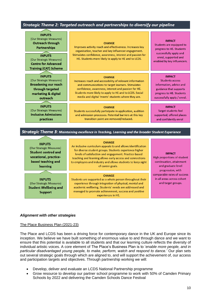# Strategic Theme 2: Targeted outreach and partnerships to diversify our pipeline

#### **INPUTS**

(Our Strategic Measures) Outreach through **Partnerships** 

**INPUTS** (Our Strategic Measures) **Centre for Advanced Training (CAT) Scheme** 

#### **INPUTS**

(Our Strategic Measures) **Broadening our reach** through targeted marketing & digital outreach

**INPUTS** (Our Strategic Measures) **Inclusive Admissions** practices

#### **CHANGE**

Improves activity reach and effectiveness, Increases key organisation, teacher and key influencer engagement. Stimulates confidence, awareness, interest and passion for HE. Students more likely to apply to HE and to LCDS.

#### **CHANGE**

Increases reach and accessibility of relevant information and communications to target learners. Stimulates confidence, awareness, interest and passion for HE. Students more likely to apply to HE and to LCDS. Social media and digital 'meets' students where they are.

#### **CHANGE**

Students successfully participate in application, audition and admission processes. Potential barriers at this key transition point are removed/reduced.

#### **IMPACT** Students are equipped to

progress to HE. Students successfully apply and enrol, supported and enabled by key influencers.

#### **IMPACT**

**Students access** information, advice and guidance that supports progress to HE. Students successfully apply / enrol.

**IMPACT** Target students feel supported; offered places and confidently enrol

# Strategic Theme 3: Maintaining excellence in Teaching, Learning and the broader Student Experience

| <b>INPUTS</b><br>(Our Strategic Measures)<br><b>Student centred and</b><br>vocational, practice-<br>based teaching and<br>learning | <b>CHANGE</b><br>An inclusive curriculum appeals to and allows identification<br>for diverse student groups. Students experience higher<br>levels of satisfaction and engagement. Practice-based<br>teaching and learning allows early access and connections<br>to employers and industry and allows students to keep sight<br>of career goals. | <b>IMPACT</b><br>High proportions of student<br>continuation, attainment<br>and graduate level<br>progression, with |  |
|------------------------------------------------------------------------------------------------------------------------------------|--------------------------------------------------------------------------------------------------------------------------------------------------------------------------------------------------------------------------------------------------------------------------------------------------------------------------------------------------|---------------------------------------------------------------------------------------------------------------------|--|
| <b>INPUTS</b><br>(Our Strategic Measures)<br><b>Student Wellbeing and</b><br><b>Support</b>                                        | <b>CHANGE</b><br>Students are supported as a whole person throughout their<br>experience through integration of physical, mental and<br>academic wellbeing. Students' needs are addressed and<br>managed to promote achievement, success and positive<br>experiences in HE.                                                                      | comparable rates of success<br>in all areas across cohort<br>and target groups.                                     |  |

# *Alignment with other strategies*

# The Place Business Plan (2021-23)

The Place and LCDS has been a driving force for contemporary dance in the UK and Europe since its inception. We believe we have built something of enormous value to and through dance and we want to ensure that this potential is available to all students and that our learning culture reflects the diversity of individual artistic voices. A core element of The Place's Business Plan is to '*enable more people, and in particular disadvantaged young people, to make, perform, watch and respond to dance.'* Our plan sets out several strategic goals through which are aligned to, and will support the achievement of, our access and participation targets and objectives. Through partnership working we will:

- Develop, deliver and evaluate an LCDS National Partnership programme
- Grow resource to develop our partner school programme to work with 50% of Camden Primary Schools by 2022 and delivering the Camden Schools Dance Festival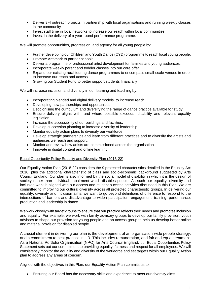- Deliver 3-4 outreach projects in partnership with local organisations and running weekly classes in the community.
- Invest staff time in local networks to increase our reach within local communities.
- Invest in the delivery of a year-round performance programme.

We will promote opportunities, progression, and agency for all young people by:

- Further developing our Children and Youth Dance (CYD) programme to reach local young people.
- Promote Artsmark to partner schools.
- Deliver a programme of professional artist development for families and young audiences.
- Incorporate weekly parent and toddler classes into our core offer.
- Expand our existing rural touring dance programmes to encompass small-scale venues in order to increase our reach and access.
- Growing our Student Fund to better support students financially

We will increase inclusion and diversity in our learning and teaching by:

- Incorporating blended and digital delivery models, to increase reach.
- Developing new partnerships and opportunities.
- Decolonising the curriculum and diversifying the range of dance practice available for study.
- Ensure delivery aligns with, and where possible exceeds, disability and relevant equality legislation.
- Increase the accessibility of our buildings and facilities.
- Develop succession planning to increase diversity of leadership.
- Monitor equality action plans to diversify our workforce.
- Develop strategic partnerships and learn from different practices and to diversify the artists and audiences we reach and support.
- Monitor and review how artists are commissioned across the organisation.
- Innovate in digital content and online learning.

# Equal Opportunity Policy Equality and Diversity Plan (2018-22)

Our Equality Action Plan (2018-22) considers the 9 protected characteristics detailed in the Equality Act 2010, plus the additional characteristic of class and socio-economic background suggested by Arts Council England. Our plan is also informed by the social model of disability in which it is the design of society rather than individual impairment which disables people. As such our equality, diversity and inclusion work is aligned with our access and student success activities discussed in this Plan. We are committed to improving our cultural diversity across all protected characteristic groups. In delivering our equality, diversity and inclusion aims, we want to go beyond definitions of difference to respond to the intersections of barriers and disadvantage to widen participation, engagement, training, performance, production and leadership in dance.

We work closely with target groups to ensure that our practice reflects their needs and promotes inclusion and equality. For example, we work with family advisory groups to develop our family provision, youth advisors to shape our provision for young people and an access group to help us develop better online and material provision for disabled people.

A crucial element in delivering our plan is the development of an organisation-wide people strategy, and a commitment to best practice in HR. This includes remuneration, and fair and equal treatment. As a National Portfolio Organisation (NPO) for Arts Council England, our Equal Opportunities Policy Statement sets out our commitment to providing equality, fairness and respect for all employees. We will consistently monitor the equality and diversity of the workforce and set targets within our Equality Action plan to address any areas of concern.

Aligned with the objectives in this Plan, our Equality Action Plan commits us to:

• Ensuring our Board has the necessary skills and experience to meet our diversity aims.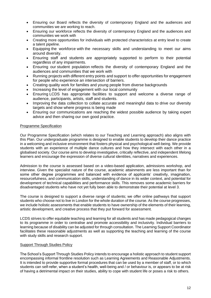- Ensuring our Board reflects the diversity of contemporary England and the audiences and communities we are working to reach.
- Ensuring our workforce reflects the diversity of contemporary England and the audiences and communities we work with
- Creating more opportunities for individuals with protected characteristics at entry level to create a talent pipeline.
- Equipping the workforce with the necessary skills and understanding to meet our aims around diversity.
- Ensuring staff and students are appropriately supported to perform to their potential regardless of any impairments.
- Ensuring our student population reflects the diversity of contemporary England and the audiences and communities that we work with
- Running projects with different entry points and support to offer opportunities for engagement for people who experience an intersection of barriers.
- Creating quality work for families and young people from diverse backgrounds
- Increasing the level of engagement with our local community
- Ensuring LCDS has appropriate facilities to support and welcome a diverse range of audience, participants, artists, staff and students.
- Improving the data collection to collate accurate and meaningful data to drive our diversity targets and show where progress is being made
- Ensuring our communications are reaching the widest possible audience by taking expert advice and then sharing our own good practice.

# Programme Specification

Our Programme Specification (which relates to our Teaching and Learning approach) also aligns with this Plan. Our undergraduate programme is designed to enable students to develop their dance practice in a welcoming and inclusive environment that fosters physical and psychological well-being. We provide students with an experience of multiple dance cultures and how they intersect with each other in a globalised society. Our course aims to develop investigative, critically reflective, and independent lifelong learners and encourage the expression of diverse cultural identities, narratives and experiences.

Admission to the course is assessed based on a video-based application, admissions workshop, and interview. Given the specialist nature of the course, academic attainments are less important than for some other degree programmes and balanced with evidence of applicants' creativity, imagination, resourcefulness, and communication skills, understanding of dance in its wider context, and potential for development of technical capabilities and performance skills. This removes some academic barriers for disadvantaged students who have not yet fully been able to demonstrate their potential at level 3.

The course is designed to support a diverse range of students; we offer online pathways that support students who choose not to live in London for the whole duration of the course. As the course progresses, we include holistic assessments that enable students to have ownership of the elements of their learning, artistic development, and creative process that they put forward for assessment.

LCDS strives to offer equitable teaching and learning for all students and has made pedagogical changes to its programme in order to centralise and promote accessibility and inclusivity. Individual barriers to learning because of disability can be adjusted for through consultation. The Learning Support Coordinator facilitates these reasonable adjustments as well as supporting the teaching and learning of the course with study skills and research support.

# **Support Through Studies Policy**

The School's Support Through Studies Policy intends to encourage a holistic approach to student support encompassing informal frontline resolution such as Learning Agreements and Reasonable Adjustments. It is intended to provide supportive formal procedures that can be used by a member of staff, or to which students can self-refer, when a student's health, well-being and / or behaviour is, or appears to be at risk of having a detrimental impact on their studies, ability to cope with student life or poses a risk to others.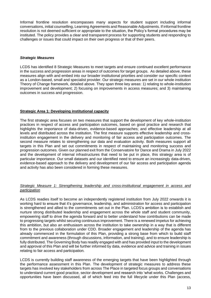Informal frontline resolution encompasses many aspects for student support including informal conversations, initial counselling, Learning Agreements and Reasonable Adjustments. If informal frontline resolution is not deemed sufficient or appropriate to the situation, the Policy's formal procedures may be instituted. The policy provides a clear and transparent process for supporting students and responding to challenges or issues that could impact on their own progress or that of their peers.

# *Strategic Measures*

LCDS has identified 8 Strategic Measures to meet targets and ensure continued excellent performance in the success and progression areas in respect of outcomes for target groups. As detailed above, these measures align with and embed into our broader institutional priorities and consider our specific context as a London-based, small and specialist provider. Our strategic measures are set in our whole institution Theory of Change framework, detailed above. They span three key areas: 1) relating to whole-institution improvement and development; 2) focusing on improvements in access measures; and 3) maintaining outcomes in success and progression.

# **Strategic Area 1: Developing institutional capacity**

The first strategic area focuses on two measures that support the development of key whole-institution practices in respect of access and participation outcomes, based on good practice and research that highlights the importance of data-driven, evidence-based approaches; and effective leadership at all levels and distributed across the institution. The first measure supports effective leadership and crossinstitution engagement in the delivery and monitoring of fair access and participation outcomes. The second measure relates to strengthening our data and evaluation activity. Both measures support all targets in this Plan and set out commitments in respect of maintaining and monitoring success and progression outcomes. Given our planned exit from the Conservatoire for Dance and Drama in July 2022 and the development of internal infrastructures that need to be put in place, this strategy area is of particular importance. Our small datasets and our identified need to ensure an increasingly data-driven, evidence-based approach to the delivery and development of our fair access and participation agenda and activity has also been considered in forming these measures.

# *Strategic Measure 1: Strengthening leadership and cross-institutional engagement in access and participation*

As LCDS readies itself to become an independently registered institution from July 2022 onwards it is working hard to ensure that it's governance, leadership, and administration for access and participation is strengthened and allied to the commitments set out in the Plan. LCDS's ambition is to establish and nurture strong distributed leadership and engagement across the whole staff and student community, empowering staff to drive the agenda forward and to better understand how contributions can be made to progressing targets whilst securing continuous improvement. There is a renewed impetus for achieving this ambition, but also an enthusiasm across the institution to take ownership in a way that is different from to the previous collaboration under CDD. Broader engagement and leadership of the agenda has already commenced in the formulation of this Plan, providing a strong base from which to build staff commitment and awareness (through discussions, information, and training), and to ensure leadership is fully distributed. The Governing Body has readily engaged with and has provided input to the development and approval of this Plan and will be further informed by data, evidence and advice and training in issues relating to fair access and participation.

LCDS is currently building staff awareness of the emerging targets that have been highlighted through the performance assessment in this Plan. The development of strategic measures to address these targets has involved key stakeholders from across The Place in targeted focus groups and conversations to understand current good practice, sector development and research into 'what works. Challenges and opportunities have been discussed, all of which feed into the full lifecycle under this Plan (access,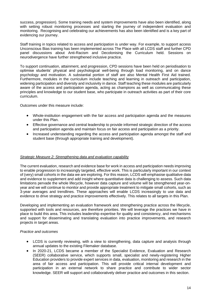success, progression). Some training needs and system improvements have also been identified, along with setting robust monitoring processes and starting the journey of independent evaluation and monitoring. Recognising and celebrating our achievements has also been identified and is a key part of evidencing our journey.

Staff training in topics related to access and participation is under way. For example, to support access Unconscious Bias training has been implemented across The Place with all LCDS staff and further CPD panel discussions about Anti-Racism and Decolonising the Curriculum held. Sessions on neurodivergence have further strengthened inclusive practice.

To support continuation, attainment, and progression, CPD sessions have been held on periodisation to optimise students' physical and psychological well-being through load monitoring, and on dance psychology and motivation. A substantial portion of staff are also Mental Health First Aid trained. Furthermore, modules in the curriculum include teaching and learning in outreach and participation, widening participation and diversity and inclusivity in dance. Staff teaching these modules are particularly aware of the access and participation agenda, acting as champions as well as communicating these principles and knowledge to our student base, who participate in outreach activities as part of their core curriculum.

Outcomes under this measure include:

- Whole-institution engagement with the fair access and participation agenda and the measures under this Plan.
- Effective governance and central leadership to provide informed strategic direction of the access and participation agenda and maintain focus on fair access and participation as a priority.
- Increased understanding regarding the access and participation agenda amongst the staff and student base (through appropriate training and development).

# *Strategic Measure 2: Strengthening data and evaluation capability*

The current evaluation, research and evidence base for work in access and participation needs improving to enable progression to increasingly targeted, effective work. This is particularly important in our context of (very) small cohorts in the data we are exploring. For this reason, LCDS will emphasise qualitative data and evidence to supplement and add insight where quantitative data is challenging to assess. Such data limitations pervade the whole lifecycle, however data capture and volume will be strengthened year-onyear and we will continue to monitor and provide appropriate treatment to mitigate small cohorts, such as 3-year averages and trendlines. These approaches will enable LCDS increasingly to use data and evidence to drive strategy and practice improvements effectively. This relates to all targets in this Plan.

Developing and implementing an evaluation framework and strengthening practice across the lifecycle, supported with tools and resources, are therefore priorities. We will leverage the practices we have in place to build this area. This includes leadership expertise for quality and consistency, and mechanisms and support for disseminating and translating evaluation into practice improvements, and research projects in target areas.

# *Practice and outcomes*

- LCDS is currently reviewing, with a view to strengthening, data capture and analysis through annual updates to the existing Filemaker database.
- In 2020-21, LCDS became a member of the Specialist Evidence, Evaluation and Research (SEER) collaborative service, which supports small, specialist and newly-registering Higher Education providers to provide expert services in data, evaluation, monitoring and research in the area of fair access and participation. This will provide critical internal development and participation in an external network to share practice and contribute to wider sector knowledge. SEER will support and collaboratively deliver practice and outcomes in this section.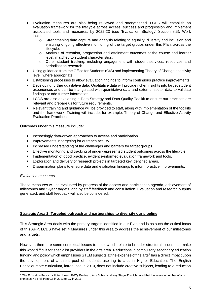- Evaluation measures are also being reviewed and strengthened. LCDS will establish an evaluation framework for the lifecycle across access, success and progression and implement associated tools and measures, by 2022-23 (see 'Evaluation Strategy' Section 3.3). Work includes:
	- o Strengthening data capture and analysis relating to equality, diversity and inclusion and ensuring ongoing effective monitoring of the target groups under this Plan, across the lifecycle.
	- o Analysis of retention, progression and attainment outcomes at the course and learner level, matched to student characteristics.
	- o Other student tracking, including engagement with student services, resources and periodisation research.
- Using guidance from the Office for Students (OfS) and implementing Theory of Change at activity level, where appropriate.
- Establishing processes to allow evaluation findings to inform continuous practice improvements.
- Developing further qualitative data. Qualitative data will provide richer insights into target student experiences and can be triangulated with quantitative data and external sector data to validate findings or add further information.
- LCDS are also developing a Data Strategy and Data Quality Toolkit to ensure our practices are relevant and prepare us for future requirements.
- Relevant training and guidance will be provided to staff, along with implementation of the toolkits and the framework. Training will include, for example, Theory of Change and Effective Activity Evaluation Practices.

Outcomes under this measure include: 

- Increasingly data-driven approaches to access and participation.
- Improvements in targeting for outreach activity.
- Increased understanding of the challenges and barriers for target groups.
- Effective monitoring and tracking of under-represented student outcomes across the lifecycle.
- Implementation of good practice, evidence-informed evaluation framework and tools.
- Exploration and delivery of research projects in targeted key identified areas.
- Dissemination plans to ensure data and evaluation findings to inform practice improvements.

# *Evaluation measures*

These measures will be evaluated by progress of the access and participation agenda, achievement of milestones and 5-year targets, and by staff feedback and consultation. Evaluation and research outputs generated, and staff feedback will also be considered.

# **Strategic Area 2: Targeted outreach and partnerships to diversify our pipeline**

This Strategic Area deals with the primary targets identified in our Plan and is as such the critical focus of this APP. LCDS have set 4 Measures under this area to address the achievement of our milestones and targets.

However, there are some contextual issues to note, which relate to broader structural issues that make this work difficult for specialist providers in the arts area. Reductions in compulsory secondary education funding and policy which emphasises STEM subjects at the expense of the arts<sup>8</sup> has a direct impact upon the development of a talent pool of students aspiring to arts in Higher Education. The English Baccalaureate curriculum, introduced in 2010, does not include creative subjects, leading to a reduction

<sup>&</sup>lt;sup>8</sup> The Education Policy Institute, Jones (2017) 'Entries to Arts Subjects at Key Stage 4' which noted that the average number of arts entries at KS4 fell from 0.8 in 2013 to 0.7 in 2016.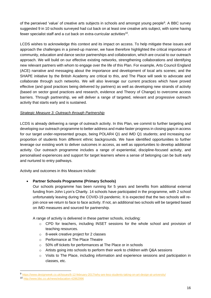of the perceived 'value' of creative arts subjects in schools and amongst young people<sup>9</sup>. A BBC survey suggested 9 in 10 schools surveyed had cut back on at least one creative arts subject, with some having fewer specialist staff and a cut back on extra-curricular activities<sup>10</sup>.

LCDS wishes to acknowledge this context and its impact on access. To help mitigate these issues and approach the challenges in a joined-up manner, we have therefore highlighted the critical importance of community, education and dance sector partnerships and collaboration, which are crucial to our outreach approach. We will build on our effective existing networks, strengthening collaborations and identifying new relevant partners with whom to engage over the life of this Plan. For example, Arts Council England (ACE) narrative and messaging about the importance and development of local arts scenes; and the SHAPE initiative by the British Academy are critical to this, and The Place will seek to advocate and collaborate through such networks. We will also leverage our current practices which have proved effective (and good practices being delivered by partners) as well as developing new strands of activity (based on sector good practices and research, evidence and Theory of Change) to overcome access barriers. Through partnership, we will deliver a range of targeted, relevant and progressive outreach activity that starts early and is sustained.

# *Strategic Measure 3: Outreach through Partnership*

LCDS is already delivering a range of outreach activity. In this Plan, we commit to further targeting and developing our outreach programme to better address and make faster progress in closing gaps in access for our target under-represented groups, being POLAR4 Q1 and IMD Q1 students; and increasing our proportion of students from different ethnic backgrounds. We have identified opportunities to further leverage our existing work to deliver outcomes in access, as well as opportunities to develop additional activity. Our outreach programme includes a range of experiential, discipline-focused activity, and personalised experiences and support for target learners where a sense of belonging can be built early and nurtured to entry pathways.

Activity and outcomes in this Measure include:

# • **Partner Schools Programme (Primary Schools)**

Our schools programme has been running for 5 years and benefits from additional external funding from John Lyon's Charity. 14 schools have participated in the programme, with 2 school unfortunately leaving during the COVID-19 pandemic. It is expected that the two schools will rejoin once we return to face to face activity. If not, an additional two schools will be targeted based on IMD measures and sourced for partnership.

A range of activity is delivered in these partner schools, including:

- $\circ$  CPD for teachers, including INSET sessions for the whole school and provision of teaching resources.
- o 8-week creative project for 2 classes
- o Performance at The Place Theatre
- o 50% off tickets for performances at The Place or in schools
- $\circ$  Artists going into schools to perform their work to children with Q&A sessions
- o Visits to The Place, including information and experience sessions and participation in classes, etc.

<sup>9</sup> <https://www.designweek.co.uk/issues/6-12-february-2017/why-are-less-students-taking-on-art-design-at-university/>

<sup>10</sup> <http://www.bbc.co.uk/news/education-42862996>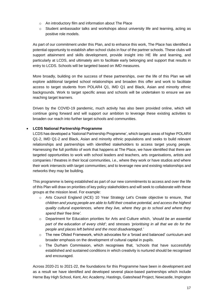- o An introductory film and information about The Place
- o Student ambassador talks and workshops about university life and learning, acting as positive role models.

As part of our commitment under this Plan, and to enhance this work, The Place has identified a potential opportunity to establish after-school clubs in four of the partner schools. These clubs will support attainment and skills development, provide insight into HE life and learning, and particularly at LCDS, and ultimately aim to facilitate early belonging and support that results in entry to LCDS. Schools will be targeted based on IMD measures.

More broadly, building on the success of these partnerships, over the life of this Plan we will explore additional targeted school relationships and broaden this offer and work to facilitate access to target students from POLAR4 Q1, IMD Q1 and Black, Asian and minority ethnic backgrounds. Work to target specific areas and schools will be undertaken to ensure we are reaching target learners.

Driven by the COVID-19 pandemic, much activity has also been provided online, which will continue going forward and will support our ambition to leverage these existing activities to broaden our reach into further target schools and communities.

# • **LCDS National Partnership Programme**

LCDS has developed a 'National Partnership Programme', which targets areas of higher POLAR4 Q1-2, IMD Q1-2 and Black, Asian and minority ethnic populations and seeks to build relevant relationships and partnerships with identified stakeholders to access target young people. Harnessing the full portfolio of work that happens at The Place, we have identified that there are targeted opportunities to work with school leaders and teachers, arts organisations, artists and companies / theatres in their local communities, i.e., where they work or have studios and where their work intersects with target communities; and to leverage new and existing relationships and networks they may be building.

This programme is being established as part of our new commitments to access and over the life of this Plan will draw on priorities of key policy stakeholders and will seek to collaborate with these groups at the mission level. For example:

- o Arts Council England (ACE) 10 Year Strategy Let's Create objective to ensure, *'that children and young people are able to fulfil their creative potential, and access the highest quality cultural experiences, where they live, where they go to school and where they spend their free time'.*
- o Department for Education priorities for Arts and Culture which, *'should be an essential part of the education of every child'*; and stresses *'prioritising in all that we do for the people and places left behind and the most disadvantaged.'*
- $\circ$  The new Ofsted Framework, which advocates for a 'broad and balanced' curriculum and broader emphasis on the development of cultural capital in pupils.
- $\circ$  The Durham Commission, which recognises that, 'schools that have successfully established and sustained conditions in which creativity is nurtured should be recognised and encouraged.

Across 2020-21 to 2021-22, the foundations for this Programme have been in development and as a result we have identified and developed several place-based partnerships which include Herne Bay High School, Kent, Arc Academy, Hastings, Gateshead Project, Newcastle, Impington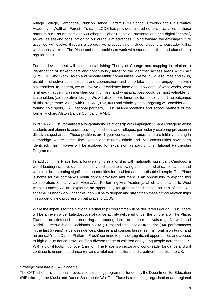Village College, Cambridge, Rubicon Dance, Cardiff, BRIT School, Croydon and Big Creative Academy in Waltham Forest. To date, LCDS has provided tailored outreach activities to these partners such as masterclass workshops, Higher Education presentations and digital "booths", as well as seeking consultation on our curriculum advances. Going forward, we envisage future activities will evolve through a co-creative process and include student ambassador talks, workshops, visits to The Place and opportunities to work with students, artists and alumni on a regular basis.

Further development will include establishing Theory of Change and mapping in relation to identification of stakeholders and continuously targeting the identified access areas – POLAR Q1&2, IMD and Black, Asian and minority ethnic communities. We will build resources and skills, establish effective administration and coordination, and undertake continual engagement with stakeholders. In tandem, we will evolve our evidence base and knowledge of what works, what is already happening in identified communities, and what practices would be most valuable for stakeholders (collaborative design). We will also seek to fundraise further to support the outcomes of this Programme. Along with POLAR Q1&2, IMD and ethnicity data, targeting will consider ACE touring cold spots, CAT national partners, LCDS alumni locations and school partners of the former Richard Alston Dance Company (RADC).

In 2021-22 LCDS formalised a long-standing relationship with Impington Village College to enlist students and alumni to assist teaching in schools and colleges, particularly exploring provision in disadvantaged areas. These positions are 1-year contracts for tutors, and are initially starting in Cambridge, where some Black, Asian and minority ethnic and IMD communities have been identified. This initiative will be explored for expansion as part of this National Partnership Programme.

In addition, The Place has a long-standing relationship with nationally significant Candoco, a world-leading inclusive dance company dedicated to showing audiences what dance can be and who can do it, creating significant opportunities for disabled and non-disabled people. The Place is home for the company's youth dance provision and there is an opportunity to expand this collaboration. Similarly, with AkomaAsa Performing Arts Academy, which is dedicated to West African Dance, we are exploring an opportunity for grant funded places as part of the CAT scheme. Further work under this Plan will be to deepen and strengthen these critical relationships in support of new progression pathways to LCDS.

While the impetus for the National Partnership Programme will be delivered through LCDS, there will be an even wider kaleidoscope of dance activity delivered under the umbrella of The Place. Planned activities such as producing and touring dance to outdoor festivals (e.g., Norwich and Norfolk, Greenwich and Docklands in 2021), rural and small-scale UK touring (340 performances in the last 5 years), artistic residences, classes and courses bursaries (Iris Tomlinson Fund) and an annual Youth Dance Platform (Fresh) continue to provide significant opportunities and access to high quality dance provision for a diverse range of children and young people across the UK. With a digital footprint of over 1 million, The Place is a sector and world-leader for dance and will continue to ensure that dance remains a vital part of cultural and creative life across the UK.

# *Strategic Measure 4: CAT Scheme*

The CAT scheme is a national prevocational training programme, funded by the Department for Education (DfE) through the Music and Dance Scheme (MDS). The Place is a founding organisation and regional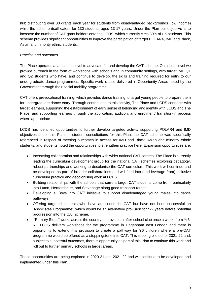hub distributing over 80 grants each year for students from disadvantaged backgrounds (low income) while the scheme itself caters for 130 students aged 13-17 years. Under the Plan our objective is to increase the number of CAT grant holders entering LCDS, which currently circa 30% of UK students. This scheme provides significant opportunities to improve the participation of target POLAR4, IMD and Black, Asian and minority ethnic students.

# *Practice and outcomes*

The Place operates at a national level to advocate for and develop the CAT scheme. On a local level we provide outreach in the form of workshops with schools and in community settings, with target IMD Q1 and Q2 students who have, and continue to develop, the skills and training required for entry to our undergraduate dance programmes. Specific work is also delivered in Opportunity Areas noted by the Government through their social mobility programme.

CAT offers prevocational training, which provides dance training to target young people to prepare them for undergraduate dance entry. Through contribution to this activity, The Place and LCDS connects with target learners, supporting the establishment of early sense of belonging and identity with LCDS and The Place, and supporting learners through the application, audition, and enrolment/ transition-in process where appropriate.

LCDS has identified opportunities to further develop targeted activity supporting POLAR4 and IMD objectives under this Plan. In student consultations for this Plan, the CAT scheme was specifically referenced in respect of meeting outcomes in access for IMD and Black, Asian and minority ethnic students, and students noted the opportunities to strengthen practice here. Expansion opportunities are:

- Increasing collaboration and relationships with wider national CAT centres. The Place is currently leading the curriculum development group for the national CAT schemes exploring pedagogy, robust partnerships and working to decolonise the CAT curriculum. This work will continue and be developed as part of broader collaborations and will feed into (and leverage from) inclusive curriculum practice and decolonising work at LCDS.
- Building relationships with the schools that current target CAT students come from, particularly into Luton, Hertfordshire, and Stevenage along good transport routes.
- Developing a 'Boys into CAT' initiative to support disadvantaged young males into dance pathways.
- Offering targeted students who have auditioned for CAT but have not been successful an 'Associates Programme', which would be an alternative provision for 1-2 years before potential progression into the CAT scheme.
- "Primary Steps" works across the country to provide an after-school club once a week, from Yr3- 6. LCDS delivers workshops for the programme in Dagenham east London and there is opportunity to extend this provision to create a pathway for Y6 children where a pre-CAT programme would be offered as a steppingstone into CAT. This is being piloted for 2021-22 and, subject to successful outcomes, there is opportunity as part of this Plan to continue this work and roll out to further primary schools in target areas.

These opportunities are being explored in 2020-21 and 2021-22 and will continue to be developed and implemented under this Plan.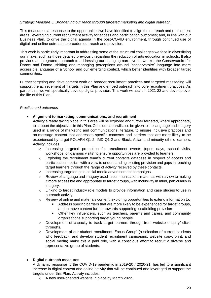# *Strategic Measure 5: Broadening our reach through targeted marketing and digital outreach*

This measure is a response to the opportunities we have identified to align the outreach and recruitment areas, leveraging current recruitment activity for access and participation outcomes; and, in line with our Business Plan, to drive the digital agenda in the post-COVID environment, through continued use of digital and online outreach to broaden our reach and provision.

This work is particularly important in addressing some of the structural challenges we face in diversifying our intake, such as those detailed previously regarding the reduction of arts education in schools. It also provides an integrated approach to addressing our changing narrative as we exit the Conservatoire for Dance and Drama, shifting and managing perceptions around 'conservatoire' language into more accessible language of a School and our emerging context, which better identifies with broader target communities.

Further targeting and development work on broader recruitment practices and targeted messaging will support the achievement of Targets in this Plan and embed outreach into core recruitment practices. As part of this, we will specifically develop digital provision. This work will start in 2021-22 and develop over the life of this Plan.

# *Practice and outcomes*

# • **Alignment to marketing, communications, and recruitment**

Activity already taking place in this area will be explored and further targeted, where appropriate, to support the objectives in this Plan. Consideration will also be given to the language and imagery used in a range of marketing and communications literature, to ensure inclusive practices and on-message content that addresses specific concerns and barriers that are more likely to be experienced by target POLAR4 Q1-2, IMD Q1-2 and Black, Asian and minority ethnic learners. Activity includes:

- $\circ$  Increasing targeted promotion for recruitment events (open days, school visits, workshops, on-campus visits) to ensure opportunities are provided to learners.
- $\circ$  Exploring the recruitment team's current contacts database in respect of access and participation metrics, with a view to understanding existing provision and gaps in reaching target learners through the range of activity received by these contacts.
- o Increasing targeted paid social media advertisement campaigns.
- $\circ$  Review of language and imagery used in communications materials with a view to making it more accessible and appropriate to target groups, with inclusivity in mind, particularly in imagery.
- o Linking to target industry role models to provide information and case studies to use in outreach activity.
- $\circ$  Review of online and materials content, exploring opportunities to extend information to:
	- Address specific barriers that are more likely to be experienced for target groups, and to move content further towards supporting, scaffolding provision.
	- **•** Other key influencers, such as teachers, parents and carers, and community organisations supporting target young people.
- $\circ$  Development of capacity to track target learners through from website enquiry/ clickthroughs.
- o Development of our student recruitment 'Focus Group' (a selection of current students who feedback, and develop student recruitment campaigns, website copy, print, and social media) make this a paid role, with a conscious effort to recruit a diverse and representative group of students.

# • **Digital outreach measures**

A dynamic response to the COVID-19 pandemic in 2019-20 / 2020-21, has led to a significant increase in digital content and online activity that will be continued and leveraged to support the targets under this Plan. Activity includes:

o A new user-oriented website in place by March 2022.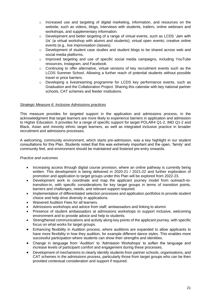- $\circ$  Increased use and targeting of digital marketing, information, and resources on the website, such as videos, blogs, interviews with students, trailers, online webinars and workshops, and supplementary information.
- o Development and better targeting of a range of virtual events, such as LCDS 'Jam with Us' (a virtual workshop with alumni and students); virtual open events; creative online events (e.g., live improvisation classes).
- o Development of student case studies and student blogs to be shared across web and social media platforms.
- $\circ$  Improved targeting and use of specific social media campaigns, including YouTube resources, Instagram, and Facebook.
- o Continuing to offer alternative, virtual versions of key recruitment events such as the LCDS Summer School. Allowing a further reach of potential students without possible travel or price barriers.
- $\circ$  Developing a livestreaming programme for LCDS key performance events, such as Graduation and the Collaboration Project. Sharing this calendar with key national partner schools, CAT schemes and feeder institutions.

# *Strategic Measure 6: Inclusive Admissions practices*

This measure provides for targeted support in the application and admissions process, in the acknowledgment that target learners are more likely to experience barriers in application and admission to Higher Education. It provides for a range of specific support for target POLAR4 Q1-2, IMD Q1-2 and Black, Asian and minority ethnic target learners, as well as integrated inclusive practice in broader recruitment and admissions processes.

A welcoming, community environment, which starts pre-admission, was a key highlight in our student consultations for this Plan. Students noted that this was extremely important and the open, 'family' and community feel, and environment should be maintained and fostered pre-entry onwards.

# *Practice and outcomes*

- Increasing access through digital course provision, where an online pathway is currently being written. This development is being delivered in 2020-21 / 2021-22 and further exploration of promotion and application to target groups under this Plan will be explored from 2022-23.
- Development work to coordinate and map the applicant journey model from outreach-totransition-in, with specific considerations for key target groups in terms of transition points, barriers and challenges, needs, and relevant support required.
- Implementation of differentiated selection processes and application portfolios to provide student choice and help drive diversity in applications.
- Waivered Audition Fees for all learners.
- Admissions workshops and advice from staff, ambassadors and linking to alumni.
- Presence of student ambassadors at admissions workshops to support inclusive, welcoming environment and to provide advice and help to students.
- Strengthened communications and activity along key points of the applicant journey, with specific focus on what works for target groups.
- Enhancing flexibility in Audition process, where auditions are expanded to allow applicants to have more flexibility in how they audition, for example different dance styles. This enables more successful participation where students can show their strengths and identities.
- Change in language from 'Audition' to 'Admission Workshops' to soften the language and increase levels of participant comfort and engagement during these processes.
- Development of mechanisms to clearly identify students from partner schools, organisations, and CAT schemes in the admissions process, particularly those from target groups who can be then provided contextual consideration and support if required.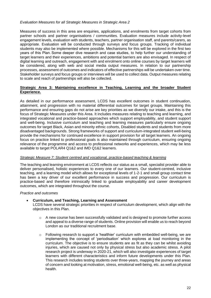# *Evaluation Measures for all Strategic Measures in Strategic Area 2*

Measures of success in this area are enquiries, applications, and enrolments from target cohorts from partner schools and partner organisations / communities. Evaluation measures include activity-level engagement levels, evaluation with students, teachers, partner organisation staff, and parents/carers, as appropriate. Evaluation will be conducted through surveys and focus groups. Tracking of individual students may also be implemented where possible. Mechanisms for this will be explored in the first two years of this Plan. Some deeper dive research and case studies, to help further our understanding of target learners and their experiences, ambitions and potential barriers are also envisaged. In respect of digital learning and outreach, engagement with and enrolment onto online courses by target learners will be considered, along with web and social media output measures. In relation to our partnership processes, assessment of outcomes and indicators of effective partnerships will be undertaken over time. Stakeholder surveys and focus groups or interviews will be used to collect data. Output measures relating to scale and reach of partnerships will also be collected.

# **Strategic Area 3: Maintaining excellence in Teaching, Learning and the broader Student Experience.**

As detailed in our performance assessment, LCDS has excellent outcomes in student continuation, attainment, and progression with no material differential outcomes for target groups. Maintaining this performance and ensuring gaps do not arise are key priorities as we diversify our intake, and this is the focus of Strategic Measures under this Area. It includes measures relating to teaching and learning, and integrated vocational and practice-based approaches which support employability, and student support and well-being. Inclusive curriculum and teaching and learning measures particularly ensure ongoing outcomes for target Black, Asian and minority ethnic cohorts, Disabled students and students from more disadvantaged backgrounds. Strong frameworks of support and curriculum-integrated student well-being provide the mechanisms for continued excellence in support provision for all target learners. An ongoing focus on practice linked to professional goals is also maintained through curriculum, ensuring ongoing relevance of the programme and access to professional networks and experiences, which may be less available to target POLAR4 Q1&2 and IMD Q1&2 learners.

# *Strategic Measure 7: Student centred and vocational, practice-based teaching & learning*

The teaching and learning environment at LCDS reflects our status as a small, specialist provider able to deliver personalised, holistic experiences to every one of our learners. Our student-centred, inclusive teaching, and a learning model which allows for exceptional levels of 1-2-1 and small group contact time has been a key driver of our excellent performance in success and progression. Our curriculum is practice-based and therefore intrinsically linked to graduate employability and career development outcomes, which are integrated throughout the course.

# *Practice and outcomes*

# • **Curriculum, and Teaching, Learning and Assessment**

LCDS have several strategic priorities in respect of curriculum development, which align with the objectives in this Plan.

- $\circ$  A new course has been successfully validated and is designed to promote further access and appeal to a diverse range of students. Online provision will enable us to reach beyond London as our traditional recruitment base.
- $\circ$  Following research to support a 'healthier' curriculum with embedded well-being, we are implementing the concept of 'periodisation' which explores at load monitoring in the curriculum. The objective is to ensure students are as fit as they can be whilst avoiding injuries, which are caused not only by physical stress but also academic stress. A pilot research project is underway in 2020-21, which will also investigate experiences of target learners with different characteristics and inform future developments under this Plan. This research includes testing students over three-years, mapping the journey and areas of concern and looking at motivation, stress, emotional well-being, etc. as well as physical health.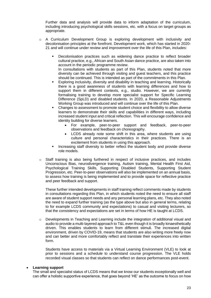Further data and analysis will provide data to inform adaptation of the curriculum, including introducing psychological skills sessions, etc. with a focus on target groups as appropriate.

- $\circ$  A Curriculum Development Group is exploring development with inclusivity and decolonisation principles at the forefront. Development work, which has started in 2020- 21 and will continue under review and improvement over the life of this Plan, includes:
	- Decolonisation practices such as widening dance practice to reflect broader cultural practice, e.g., African and South Asian dance practice, are also taken into account in the periodic programme review. In consultations with students as part of this Plan, students noted that more diversity can be achieved through visiting and guest teachers, and this practice should be continued. This is intended as part of the commitments in this Plan.
	- Exploring inclusivity, diversity and disability in teaching and learning. Historically there is a good awareness of students with learning differences and how to support them in different contexts, e.g., studio. However, we are currently formalising training to develop more specialist support for Specific Learning Difference (SpLD) and disabled students. In 2020, a Reasonable Adjustments Working Group was introduced and will continue over the life of this Plan.
	- Changes to assessment to promote student choice and flexibility to allow diverse learners to demonstrate their skills and capabilities in different ways, including increased student input and critical reflection. This will encourage confidence and identity building for diverse learners.
		- For example, peer-to-peer support and feedback, peer-to-peer observations and feedback on choreography.
		- LCDS already note some shift in this area, where students are using culture and personal characteristics in their practices. There is an excitement from students in using this approach.
	- Increasing staff diversity to better reflect the student body and provide diverse role models.
- $\circ$  Staff training is also being furthered in respect of inclusive practices, and includes Unconscious Bias, neurodivergence training, Autism training, Mental Health First Aid, Psychological Training Skills, Supporting Disabled Students, Supporting Student Progression, etc. Peer-to-peer observations will also be implemented on an annual basis, to assess how training is being implemented and to provide space for reflective practice and peer feedback and support.

These further intended developments in staff training reflect comments made by students in consultations regarding this Plan, in which students noted the need to ensure all staff are aware of student support needs and any personal learning plans, etc. They also noted the need to expand further training (as the type above but also in general terms, relating to for example LCDS community and expectations) to casual and visiting lecturers, so that the consistency and expectations are set in terms of how HE is taught at LCDS.

 $\circ$  Developments in Teaching and Learning include the integration of additional visual and audio to provide a multi-layered approach to T&L even though it is broadly kinaesthetically driven. This enables students to learn from different stimuli. The increased digital environment, driven by COVID-19, means that students are also writing more freely now and can better and more comfortably reflect and translate their experiences into written form.

Students have access to materials via a Virtual Learning Environment (VLE) to look at prior to sessions and a schedule to understand course progression. The VLE holds recorded visual classes so that students can reflect on dance performances post-event.

# • **Learning support**

The small and specialist status of LCDS means that we know our students exceptionally well and can offer a holistic supportive experience, that goes beyond 'HE' as the outcome to focus on how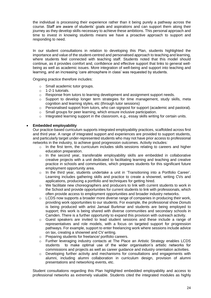the individual is processing their experience rather than it being purely a pathway across the course. Staff are aware of students' goals and aspirations and can support them along their journey as they develop skills necessary to achieve these ambitions. This personal approach and time to invest in knowing students means we have a proactive approach to support and responding to need.

In our student consultations in relation to developing this Plan, students highlighted the importance and value of the student-centred and personalised approach to teaching and learning, where students feel connected with teaching staff. Students noted that this model should continue, as it provides comfort and, confidence and effective support that links to general wellbeing as well as academic issues. More integration of well-being and support into teaching and learning, and an increasing 'care atmosphere in class' was requested by students.

Ongoing practice therefore includes:

- o Small academic tutor groups.
- o 1-2-1 tutorials.
- o Response from tutors to learning development and assignment support needs.
- Support to develop longer term strategies for time management, study skills, meta cognition and learning styles, etc (through tutor sessions)
- $\circ$  Personalised support from tutors, who can signpost for support (academic and pastoral).
- o Small groups for peer learning, which ensure inclusive participation.
- $\circ$  Integrated learning support in the classroom, e.g., essay skills writing for certain units.

# • **Embedded employability**

Our practice-based curriculum supports integrated employability practices, scaffolded across first and third year. A range of integrated support and experiences are provided to support students, and particularly target under-represented students who may not have prior access to professional networks in the industry, to achieve good progression outcomes. Activity includes:

- $\circ$  In the first term, the curriculum includes skills sessions relating to careers and higher education preparation.
- o In the second year, transferable employability skills are embedded in collaborative creative projects with a unit dedicated to facilitating learning and teaching and creative practice in schools and communities, which prepares students for this significant future employment opportunity area.
- o In the third year, students undertake a unit in 'Transitioning into a Portfolio Career'. Learning includes gathering skills and practice to create a showreel, writing CVs and applications, producing a portfolio and techniques for getting hired.
- $\circ$  We facilitate new choreographers and producers to link with current students to work in the School and provide opportunities for current students to link with professionals, which often provide access to employment opportunities and broader industry networks.
- $\circ$  LCDS now supports a broader more diverse range of companies in producing their work, providing work opportunities to our students. For example, the professional show *Donuts* is being produced with artist Jamaal Burkmar and students are being employed to support; this work is being shared with diverse communities and secondary schools in Camden. There is a further opportunity to expand this provision with outreach activity.
- o Guest speakers are invited to lead student sessions and these include a range of representatives and role models, with a focus on targeted support for progression pathways. For example, support to enter freelancing work where sessions include advice on tax, creating a showreel and CV writing.
- o Preparing students for freelance/ portfolio careers.
- o Further leveraging industry contacts at The Place an Artistic Strategy enables LCDS students to make optimal use of the wider organisation's artistic networks for commissions and projects as well as career guidance and industry orientation activities.
- $\circ$  Developing further activity and mechanisms for consultations and engagements with alumni, including alumni collaboration in curriculum design, provision of alumni presentations and networking events, etc.

Student consultations regarding this Plan highlighted embedded employability and access to professional networks as extremely valuable. Students cited the integrated modules as highly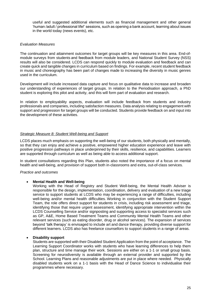useful and suggested additional elements such as financial management and other general 'human /adult / professional life!' sessions, such as opening a bank account, learning about issues in the world today (news events), etc.

# *Evaluation Measures*

The continuation and attainment outcomes for target groups will be key measures in this area. End-ofmodule surveys from students and feedback from module leaders, and National Student Survey (NSS) results will also be considered. LCDS can respond quickly to module evaluation and feedback and can create quick and tangible changes in curriculum based on findings. For example, recent student feedback in music and choreography has been part of changes made to increasing the diversity in music genres used in the curriculum.

Development will include increased data capture and focus on qualitative data to increase and broaden our understanding of experiences of target groups. In relation to the Periodisation approach, a PhD student is exploring this pilot and activity, and this will form part of evaluation and research.

In relation to employability aspects, evaluation will include feedback from students and industry professionals and companies, including satisfaction measures. Data analysis relating to engagement with support and progression for target groups will be conducted. Students provide feedback on and input into the development of these activities.

# *Strategic Measure 8: Student Well-being and Support*

LCDS places much emphasis on supporting the well-being of our students, both physically and mentally, so that they can enjoy and achieve a positive, empowered higher education experience and leave with positive progression pathways in place underpinned by their skills, resilience, and capabilities. Learners are supported through curriculum as well as being able to access additional support.

In student consultations regarding this Plan, students also noted the importance of a focus on mental health and well-being, and provision of support both in-classrooms and extra, out-of-class services.

# *Practice and outcomes*

# • **Mental Health and Well-being**

Working with the Head of Registry and Student Well-being, the Mental Health Adviser is responsible for the design, implementation, coordination, delivery and evaluation of a new triage service to support students at LCDS who may be experiencing a range of difficulties, including well-being and/or mental health difficulties. Working in conjunction with the Student Support Team, the role offers direct support for students in crisis, including risk assessment and triage, identifying those that require urgent assessment, identifying appropriate intervention within the LCDS Counselling Service and/or signposting and supporting access to specialist services such as GP, A&E, Home Based Treatment Teams and Community Mental Health Teams and other relevant services (such as eating disorder, drug or alcohol services). The expansion of services beyond 'talk therapy' is envisaged to include art and dance therapy, providing diverse support for different learners. LCDS also has freelance counsellors to support students in a range of areas.

# • **Disability support**

Students are supported with their Disabled Student Application from the point of acceptance. The Learning Support Coordinator works with students who have learning differences to help them plan, structure and time manage their work. Sessions are either on a 1-1 or small group basis. Screening for neurodiversity is available through an external provider and supported by the School. Learning Plans and reasonable adjustments are put in place where needed. Physically disabled students work on a 1-1 basis with the Head of Dance Science to individualise their programmes where necessary.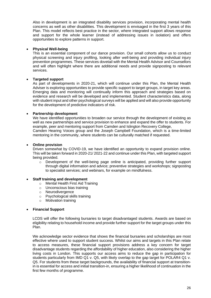Also in development is an integrated disability services provision, incorporating mental health concerns as well as other disabilities. This development is envisaged in the first 3 years of this Plan. This model reflects best practice in the sector, where integrated support allows response and support for the whole learner (instead of addressing issues in isolation) and offers opportunities to explore patterns in support.

# • **Physical Well-being**

This is an essential component of our dance provision. Our small cohorts allow us to conduct physical screening and injury profiling, looking after well-being and providing individual injury prevention programmes. These services dovetail with the Mental Health Advisor and Counsellors and will often highlight where there are additional needs and provide signposting to relevant services.

# • **Targeted support**

As part of developments in 2020-21, which will continue under this Plan, the Mental Health Adviser is exploring opportunities to provide specific support to target groups, in target key areas. Emerging data and monitoring will continually inform this approach and strategies based on evidence and research will be developed and implemented. Student characteristics data, along with student input and other psychological surveys will be applied and will also provide opportunity for the development of predictive indicators of risk.

# • **Partnership development**

We have identified opportunities to broaden our service through the development of existing as well as new partnerships and service provision to enhance and expand the offer to students. For example, peer and mentoring support from Camden and Islington Recovery College, Camden Hearing Voices group and the Joseph Campbell Foundation, which is a time-limited mentoring in the community, where students can be culturally matched if requested.

# • **Online provision**

Driven somewhat by COVID-19, we have identified an opportunity to expand provision online. This will be taken forward in 2020-21/ 2021-22 and continue under this Plan, with targeted support being provided.

 $\circ$  Development of the well-being page online is anticipated, providing further support through digital information and advice; preventive strategies and workshops; signposting to specialist services; and webinars, for example on mindfulness.

# • **Staff training and development**

- o Mental Health First Aid Training
- o Unconscious bias training
- o Neurodivergence
- o Psychological skills training
- o Motivation training

# • **Financial Support**

LCDS will offer the following bursaries to target disadvantaged students. Awards are based on eligibility relating to household income and provide further support for the target groups under this Plan.

We acknowledge sector evidence that shows the financial bursaries and scholarships are most effective where used to support student success. Whilst our aims and targets in this Plan relate to access measures, these financial support provisions address a key concern for target disadvantage students regarding the affordability of higher education, also considering the higher living costs in London. This supports our access aims to reduce the gap in participation for students particularly from IMD Q1 v. Q5, with likely overlap to the gap target for POLAR4 Q1 v. Q5. For students from these target backgrounds, the availability of financial support at transitionin is essential for access and initial transition-in, ensuring a higher likelihood of continuation in the first few months of programme.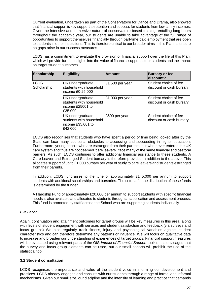Current evaluation, undertaken as part of the Conservatoire for Dance and Drama, also showed that financial support is key support to retention and success for students from low family incomes. Given the intensive and immersive nature of conservatoire-based training, entailing long hours throughout the academic year, our students are unable to take advantage of the full range of opportunities to support themselves financially through part-time paid employment that are open to students in other institutions. This is therefore critical to our broader aims in this Plan, to ensure no gaps arise in our success measures.

LCDS has a commitment to evaluate the provision of financial support over the life of this Plan, which will provide further insights into the value of financial support to our students and the impact on target student outcomes.

| <b>Scholarship</b>         | <b>Eligibility</b>                                                                 | <b>Amount</b>     | <b>Bursary or fee</b><br>discount?                |
|----------------------------|------------------------------------------------------------------------------------|-------------------|---------------------------------------------------|
| <b>LCDS</b><br>Scholarship | UK undergraduate<br>students with household<br>lincome £0-25,000                   | $E1,500$ per year | Student choice of fee<br>discount or cash bursary |
|                            | UK undergraduate<br>students with household<br>lincome £25001 to<br>£35,000        | $£1,000$ per year | Student choice of fee<br>discount or cash bursary |
|                            | <b>UK</b> undergraduate<br>students with household<br>income £35,001 to<br>£42,000 | £500 per year     | Student choice of fee<br>discount or cash bursary |

LCDS also recognises that students who have spent a period of time being looked after by the State can face many additional obstacles to accessing and succeeding in higher education. Furthermore, young people who are estranged from their parents, but who never entered the UK care system and thus are not deemed 'care leavers', face many of the same financial and pastoral barriers. As such, LCDS continues to offer additional financial assistance to these students. A Care Leaver and Estranged Student bursary is therefore provided in addition to the above. This allocates support of up to £1,000 bursary per year of study to care leavers and students estranged from their parents.

In addition, LCDS fundraises to the tune of approximately £145,000 per annum to support students with additional scholarships and bursaries. The criteria for the distribution of these funds is determined by the funder.

A Hardship Fund of approximately £20,000 per annum to support students with specific financial needs is also available and allocated to students through an application and assessment process. This fund is promoted by staff across the School who are supporting students individually.

# *Evaluation*

Again, continuation and attainment outcomes for target groups will be key measures in this area, along with levels of student engagement with services and student satisfaction and feedback (via surveys and focus groups). We also regularly track fitness, injury and psychological variables against student characteristics and can therefore determine any patterns or influence. We will focus on qualitative data to increase and broaden our understanding of experiences of target groups. Financial support measures will be evaluated using relevant parts of the OfS *Impact of Financial Support* toolkit. It is envisaged that the survey and focus group elements can be used, but our small cohorts will prohibit the use of the statistical tool.

# **3.2 Student consultation**

LCDS recognises the importance and value of the student voice in informing our development and practices. LCDS already engages and consults with our students through a range of formal and informal mechanisms. Given our small size, our discipline and the intensity of learning and practice that demands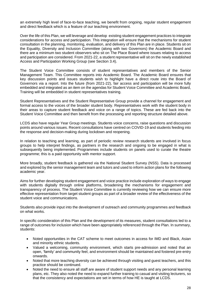an extremely high level of face-to-face teaching, we benefit from ongoing, regular student engagement and direct feedback which is a feature of our teaching environment.

Over the life of this Plan, we will leverage and develop existing student engagement practices to integrate considerations for access and participation. This integration will ensure that the mechanisms for student consultation in the planning, monitoring, evaluation, and delivery of this Plan are in place. Students sit on the Equality, Diversity and Inclusion Committee (along with two Governors) the Academic Board and there are a minimum two student observers who sit on The Place Board where issues relating to access and participation are considered. From 2021-22, a student representative will sit on the newly established Access and Participation Working Group (see Section 3.4).

The Student Voice Committee consists of student representatives and members of the Senior Management Team. This Committee reports into Academic Board. The Academic Board ensures that key discussion points and issues students wish to highlight have a direct route into the Board of Governors via a report. Into the future (from 2021-22), fair access and participation will be more fully embedded and integrated as an item on the agendas for Student Voice Committee and Academic Board, Training will be embedded in student representatives training.

Student Representatives and the Student Representative Group provide a channel for engagement and formal access to the voices of the broader student body. Representatives work with the student body in their areas to capture student feedback and voice on a range of topics. These are fed back into the Student Voice Committee and then benefit from the processing and reporting structure detailed above.

LCDS also have regular Year Group meetings. Students voice concerns, raise questions and discussion points around various issues. Recent consultations have centred on COVID-19 and students feeding into the response and decision-making during lockdown and reopening.

In relation to teaching and learning, as part of periodic review research students are involved in focus groups to help interpret findings, as partners in the research and ongoing to be engaged in what is subsequently being implemented. Programmes include students on panels used to curate the theatre programme; this is a paid opportunity with mentor support.

More broadly, student feedback is gathered via the National Student Survey (NSS). Data is processed and explored by the senior management team and tutors and used to inform action plans for the following academic year.

Aims for further developing student engagement and voice practice include exploration of ways to engage with students digitally through online platforms, broadening the mechanisms for engagement and transparency of process. The Student Voice Committee is currently reviewing how we can ensure more effective representation from target student groups as part of a broader review of the effectiveness of the student voice and communications.

Students also provide input into the development of outreach and community programmes and feedback on what works.

In specific consideration of this Plan and the development of its measures, student consultations led to a range of outcomes for inclusion which have been appropriately referenced through the Plan. In summary, students:

- Noted opportunities in the CAT scheme to meet outcomes in access for IMD and Black, Asian and minority ethnic students.
- Valued a welcoming, community environment, which starts pre-admission and noted that an open, 'family' and community feel, and environment should be maintained and fostered pre-entry onwards.
- Noted that more teaching diversity can be achieved through visiting and guest teachers, and this practice should be continued.
- Noted the need to ensure all staff are aware of student support needs and any personal learning plans, etc. They also noted the need to expand further training to casual and visiting lecturers, so that the consistency and expectations are set in terms of how HE is taught at LCDS.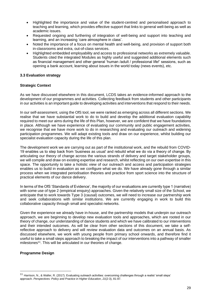- Highlighted the importance and value of the student-centred and personalised approach to teaching and learning, which provides effective support that links to general well-being as well as academic issues.
- Requested ongoing and furthering of integration of well-being and support into teaching and learning, and an increasing 'care atmosphere in class'.
- Noted the importance of a focus on mental health and well-being, and provision of support both in-classrooms and extra, out-of-class services.
- Highlighted embedded employability and access to professional networks as extremely valuable. Students cited the integrated Modules as highly useful and suggested additional elements such as financial management and other general 'human /adult / professional life!' sessions, such as opening a bank account, learning about issues in the world today (news events), etc.

# **3.3 Evaluation strategy**

# **Strategic Context**

As we have discussed elsewhere in this document, LCDS takes an evidence-informed approach to the development of our programmes and activities. Collecting feedback from students and other participants in our activities is an important guide to developing activities and interventions that respond to their needs.

In our self-assessment, using the OfS tool, we were ranked as emerging across all different sections. We realise that we have substantial work to do to build and develop the additional evaluation capability required to meet our aims during the life of this Plan, however, we are confident that we have foundations in place. Although we have experience of evaluating our community and public engagement activities, we recognise that we have more work to do in researching and evaluating our outreach and widening participation programmes. We will adapt existing tools and draw on our experience, whilst building our specialist evaluation capacity during the life of this plan.

The development work we are carrying out as part of the institutional work, and the rebuild from COVID-19 enables us to step back from 'business as usual' and rebuild what we do via a theory of change. By articulating our theory of change across the various strands of delivery and target stakeholder groups, we will compile and draw on existing expertise and research, whilst reflecting on our own expertise in this space. The opportunity to take a holistic view of our outreach and access and participation strategies enables us to build in evaluation as we configure what we do. We have already gone through a similar process when we integrated periodisation theories and practice from sport science into the structure of practical elements of our dance delivery.

In terms of the OfS 'Standards of Evidence', the majority of our evaluations are currently type 1 (narrative) with some use of type 2 (empirical enquiry) approaches. Given the relatively small size of the School, we anticipate that to work towards Type 3 (causal) outcomes, we will need to increase our partnership work and seek collaborations with similar institutions. We are currently engaging in work to build this collaborative capacity through small and specialist networks.

Given the experience we already have in-house, and the partnership models that underpin our outreach approach, we are beginning to develop new evaluation tools and approaches, which are rooted in our theory of change, our understanding of dance students and which we have calibrated to our interventions and their intended outcomes. As will be clear from other sections of this document, we take a selfreflective approach to delivery and will review evaluation data and outcomes on an annual basis. As discussed elsewhere, we work with young people from primary school onwards, and therefore find it useful to take a small steps approach to breaking the impact of our interventions into a pathway of smaller milestones<sup>11</sup>. This will be articulated in our theories of change.

# **Programme Design**

<sup>&</sup>lt;sup>11</sup> Harrison, N., & Waller, R. (2017). Evaluating outreach activities: overcoming challenges through a realist 'small steps' approach. *Perspectives: Policy and Practice in Higher Education*, *21*(2-3), 81-87.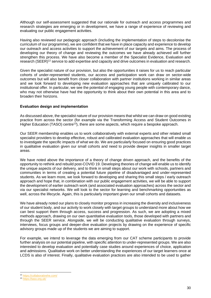Although our self-assessment suggested that our rationale for outreach and access programmes and research strategies are emerging or in development, we have a range of experience of reviewing and evaluating our public engagement activities.

Having also reviewed our pedagogic approach (including the implementation of steps to decolonise the curriculum of our programme), we are confident that we have in place capacity and experience to develop our outreach and access activities to support the achievement of our targets and aims. The process of developing our theory of change and reviewing the outcomes we have already achieved will further strengthen this process. We have also become a member of the Specialist Evidence, Evaluation and research (SEER)<sup>12</sup> service to add expertise and capacity and drive outcomes in evaluation and research.

Given the specialist nature of our provision, but also the opportunities it raises for us to reach particular cohorts of under-represented students, our access and participation work can draw on sector-wide outcomes but will also benefit from closer collaboration with partner institutions working in similar areas and we look forward to developing new evaluation approaches that are uniquely calibrated to our institutional offer. In particular, we see the potential of engaging young people with contemporary dance, who may not otherwise have had the opportunity to think about their own potential in this area and to broaden their horizons.

# **Evaluation design and implementation**

As discussed above, the specialist nature of our provision means that whilst we can draw on good existing practice from across the sector (for example via the Transforming Access and Student Outcomes in Higher Education (TASO) centre<sup>13</sup>), there are some aspects, which require a bespoke approach.

Our SEER membership enables us to work collaboratively with external experts and other related small specialist providers to develop effective, robust and calibrated evaluation approaches that will enable us to investigate the specific impacts of what we do. We are particularly focused on ensuring good practices in qualitative evaluation given our small cohorts and need to provide deeper insights in smaller target areas.

We have noted above the importance of a theory of change driven approach, and the benefits of the opportunity to rethink and rebuild post-COVID 19. Developing theories of change will enable us to identify the unique aspects of our delivery, and to think in small steps about our work with schools, partners and communities in terms of creating a potential future pipeline of disadvantaged and under-represented students. As we learn more, we look forward to developing and sharing this small steps / early outreach approach and hope that, in combination with our public engagement activities, we will be able to support the development of earlier outreach work (and associated evaluation approaches) across the sector and via our specialist networks. We will look to the sector for learning and benchmarking opportunities as well, across the lifecycle. Again, this is particularly important given our small cohorts and datasets.

We have already noted our plans to closely monitor progress in increasing the diversity and inclusiveness of our student body, and our activity to work closely with target groups to understand more about how we can best support them through access, success and progression. As such, we are adopting a mixed methods approach, drawing on our own quantitative evaluation tools, those developed with partners and through the SEER service. Alongside, we will be conducting qualitative evaluation through surveys, interviews, focus groups and deeper-dive evaluation projects by drawing on the experience of specific advisory groups made up of the students we are aiming to support.

For example, we intend to leverage the data emerging from our CAT scheme participants to provide further analysis on our potential pipeline, with specific attention to under-represented groups. We are also interested to develop evaluation and potentially case studies around experiences of choice, application and admissions. Qualitative work on better understanding the experiences of our target learners once at LCDS is also of interest. Finally, qualitative evaluation practices are also intended to be used to gather

<sup>12</sup> <https://collaborativehe.com/>

<sup>13</sup> <https://taso.org.uk/>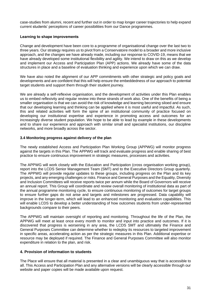case-studies from alumni, recent and further out in order to map longer career trajectories to help expand current students' perceptions of career possibilities from our Dance programmes.

# **Learning to shape improvements**

Change and development have been core to a programme of organisational change over the last two to three years. Our strategy requires us to pivot from a Conservatoire model to a broader and more inclusive approach, and the changes we have already made, including our response to COVID-19, means that we have already developed some institutional flexibility and agility. We intend to draw on this as we develop and implement our Access and Participation Plan (APP) actions. We already have some of the data structures in place and a baseline of evaluation thinking and experience upon which we can draw.

We have also noted the alignment of our APP commitments with other strategic and policy goals and developments and are confident that this will help ensure the embeddedness of our approach to potential target students and support them through their student journey.

We are already a self-reflexive organisation, and the development of activities under this Plan enables us to embed reflexivity and regular review into these strands of work also. One of the benefits of being a smaller organisation is that we can avoid the risk of knowledge and learning becoming siloed and ensure that our developing learning and thinking can be applied where it is most useful and impactful. As such, this and related activities will form the spine of an institutional community of practice focused on developing our institutional expertise and experience in promoting access and outcomes for an increasingly diverse student population. We hope to be able to lead by example in these developments and to share our experience and approach with similar small and specialist institutions, our discipline networks, and more broadly across the sector.

# **3.4 Monitoring progress against delivery of the plan**

The newly established Access and Participation Plan Working Group (APPWG) will monitor progress against the targets in this Plan. The APPWG will track and evaluate progress and enable sharing of best practice to ensure continuous improvement in strategic measures, processes and activities.

The APPWG will work closely with the Education and Participation (cross organisation working group), report into the LCDS Senior Management Team (SMT) and to the Executive Directors Group quarterly. The APPWG will provide regular updates to these groups, including progress on the Plan and its key projects, and any emerging challenges or risks. Finance and General Purposes and the Equality, Diversity and Inclusion Committees will receive reports twice per annum while the Board of Governors will receive an annual report. This Group will coordinate and review overall monitoring of institutional data as part of the annual programme monitoring cycle, to ensure continuous monitoring of outcomes for target groups to ensure further gaps do not arise and targets and milestones are progressed. Data capability will improve in the longer-term, which will lead to an enhanced monitoring and evaluation capabilities. This will enable LCDS to develop a better understanding of how outcomes students from under-represented backgrounds compare to their peers.

The APPWG will maintain oversight of reporting and monitoring. Throughout the life of the Plan, the APPWG will meet at least once every month to monitor and input into practice and outcomes. If it is discovered that progress is worsening in any area, the LCDS SMT and ultimately the Finance and General Purposes Committee can determine whether to redeploy its resources to targeted improvement in specific areas, accelerating action as per the strategic measures in this Plan. Additional expertise or resource may be deployed if required. The Finance and General Purposes Committee will also monitor expenditure in relation to the plan, and risk.

# **4. Provision of information to students**

The Place will ensure that all material is presented in a clear and unambiguous way that is accessible to all. This Access and Participation Plan and any alternative versions will be clearly accessible through our website and paper copies will be made available upon request.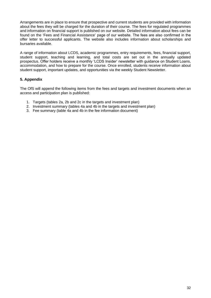Arrangements are in place to ensure that prospective and current students are provided with information about the fees they will be charged for the duration of their course. The fees for regulated programmes and information on financial support is published on our website. Detailed information about fees can be found on the 'Fees and Financial Assistance' page of our website. The fees are also confirmed in the offer letter to successful applicants. The website also includes information about scholarships and bursaries available.

A range of information about LCDS, academic programmes, entry requirements, fees, financial support, student support, teaching and learning, and total costs are set out in the annually updated prospectus. Offer holders receive a monthly 'LCDS Insider' newsletter with guidance on Student Loans, accommodation, and how to prepare for the course. Once enrolled, students receive information about student support, important updates, and opportunities via the weekly Student Newsletter.

# **5. Appendix**

The OfS will append the following items from the fees and targets and investment documents when an access and participation plan is published:

- 1. Targets (tables 2a, 2b and 2c in the targets and investment plan)
- 2. Investment summary (tables 4a and 4b in the targets and investment plan)
- 3. Fee summary (table 4a and 4b in the fee information document)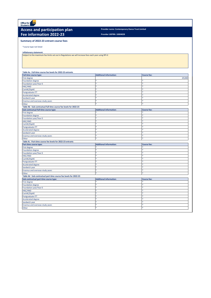Office for ofs

# Access and participation plan *Provider name: Contemporary Dance Trust Limited* **Fee information 2022-23**

**Provider UKPRN: 10004028**

#### **Summary of 2022-23 entrant course fees**

\*course type not listed

#### **Inflationary statement:**

Subject to the maximum fee limits set out in Regulations we will increase fees each year using RPI-X

| Table 4a - Full-time course fee levels for 2022-23 entrants        |                                |                    |
|--------------------------------------------------------------------|--------------------------------|--------------------|
| <b>Full-time course type:</b>                                      | <b>Additional information:</b> | <b>Course fee:</b> |
| First degree                                                       |                                | £9,000             |
| <b>Foundation degree</b>                                           |                                |                    |
| Foundation year/Year 0                                             |                                |                    |
| HNC/HND                                                            |                                |                    |
| CertHE/DipHE                                                       |                                |                    |
| Postgraduate ITT                                                   |                                |                    |
| <b>Accelerated degree</b>                                          |                                |                    |
| Sandwich year                                                      |                                |                    |
| Erasmus and overseas study years                                   |                                |                    |
| Other                                                              |                                |                    |
| Table 4b - Sub-contractual full-time course fee levels for 2022-23 |                                |                    |
| Sub-contractual full-time course type:                             | <b>Additional information:</b> | <b>Course fee:</b> |
| First degree                                                       |                                |                    |
| <b>Foundation degree</b>                                           | ×.                             |                    |
| Foundation year/Year 0                                             |                                |                    |
| HNC/HND                                                            |                                |                    |
| CertHE/DipHE                                                       |                                |                    |
| Postgraduate ITT                                                   |                                | ×.                 |
| <b>Accelerated degree</b>                                          |                                |                    |
| Sandwich year                                                      |                                | ×                  |
| Erasmus and overseas study years                                   | $\star$                        | ŵ.                 |
| Other                                                              | $\star$                        | ×                  |
| Table 4c - Part-time course fee levels for 2022-23 entrants        |                                |                    |
| Part-time course type:                                             | <b>Additional information:</b> | <b>Course fee:</b> |
| First degree                                                       |                                |                    |
| <b>Foundation degree</b>                                           |                                |                    |
| Foundation year/Year 0                                             |                                |                    |
| HNC/HND                                                            |                                |                    |
| CertHE/DipHE                                                       |                                |                    |
| Postgraduate ITT                                                   |                                |                    |
| <b>Accelerated degree</b>                                          |                                |                    |
| Sandwich year                                                      |                                |                    |
| Erasmus and overseas study years                                   |                                |                    |
| Other                                                              |                                |                    |
| Table 4d - Sub-contractual part-time course fee levels for 2022-23 |                                |                    |
| Sub-contractual part-time course type:                             | <b>Additional information:</b> | <b>Course fee:</b> |
| First degree                                                       |                                |                    |
| <b>Foundation degree</b>                                           |                                |                    |
| Foundation year/Year 0                                             |                                |                    |
| HNC/HND                                                            |                                |                    |
|                                                                    |                                |                    |
| CertHE/DipHE                                                       |                                |                    |
| Postgraduate ITT                                                   | ×.                             | ×                  |
| <b>Accelerated degree</b>                                          |                                | ×.                 |
| Sandwich year                                                      | $\ast$                         | ×                  |
| Erasmus and overseas study years                                   |                                | ×.                 |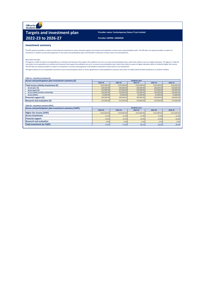Office for<br>Students **Ofs** 

# **Targets and investment plan Provider name: Contemporary Dance Trust Limited 2022-23 to 2026-27 Provider UKPRN: 10004028**

#### **Investment summary**

The OfS requires providers to report on their planned investment in access, financial support and research and evaluation in their access and participation plan. The OfS does not require providers to report on<br>investment i

#### Note about the data:

The figures in Table 4a relate to all expenditure on activities and measures that support the ambitions set out in an access and participation plan, where they relate to access to higher education. The figures in Table 4b only relate to the expenditure on activities and measures that support the ambitions set out in an access and participation plan, where they relate to access to higher education which is funded by higher fee income.<br>The Of

The figures below are not comparable to previous access and participation plans or access agreements as data published in previous years does not reflect latest provider projections on student numbers.

# **Table 4a - Investment summary (£)**

| Access and participation plan investment summary (£) | <b>Academic year</b> |             |             |             |             |  |  |  |  |  |
|------------------------------------------------------|----------------------|-------------|-------------|-------------|-------------|--|--|--|--|--|
|                                                      | 2022-23              | 2023-24     | 2024-25     | 2025-26     | 2026-27     |  |  |  |  |  |
| Total access activity investment (£)                 | £142,000.00          | £142,000.00 | £142,000,00 | £142,000,00 | £142,000.00 |  |  |  |  |  |
| Access (pre-16)                                      | £66,000,00           | £66,000,00  | £66,000,00  | £66,000,00  | £66,000.00  |  |  |  |  |  |
| Access (post-16)                                     | £51,000.00           | £51,000.00  | £51,000.00  | £51,000.00  | £51,000.00  |  |  |  |  |  |
| Access (adults and the community)                    | £20,000,00           | £20,000,00  | £20,000,00  | £20,000.00  | £20,000.00  |  |  |  |  |  |
| <b>Access (other)</b>                                | £5,000.00            | £5,000.00   | £5,000.00   | £5,000.00   | £5,000.00   |  |  |  |  |  |
| Financial support (£)                                | £90,000,00           | £90,000,00  | £90,000,00  | £90,000,00  | £90,000.00  |  |  |  |  |  |
| <b>Research and evaluation (£)</b>                   | £15,000.00           | £15,500,00  | £16,000,00  | £16,500,00  | £17,000.00  |  |  |  |  |  |
|                                                      |                      |             |             |             |             |  |  |  |  |  |

#### **Table 4b - Investment summary (HFI%) Access and participation plan investment summary (%HFI) Academic year 2022-23 2023-24 2024-25 2025-26 2026-27** £519,000.00 £519,000.00 £513,000.00 £513,000.00 £513,000.00 11.2% 11.2% 11.3% 11.3% 11.3% 13.5% 13.5% 13.6% 13.6% 13.6% 2.9% 3.0% 3.0% 3.0% 3.1% 3.2% 3.2% 3.3% **Total investment (as %HFI)** 27.6% 27.6% 28.1% 28.2% 28.3% **Higher fee income (£HFI) Access investment Research and evaluation Financial support**